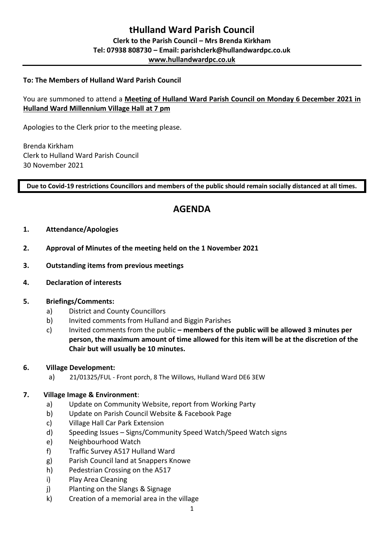### **To: The Members of Hulland Ward Parish Council**

# You are summoned to attend a **Meeting of Hulland Ward Parish Council on Monday 6 December 2021 in Hulland Ward Millennium Village Hall at 7 pm**

Apologies to the Clerk prior to the meeting please.

Brenda Kirkham Clerk to Hulland Ward Parish Council 30 November 2021

**Due to Covid-19 restrictions Councillors and members of the public should remain socially distanced at all times.** 

# **AGENDA**

- **1. Attendance/Apologies**
- **2. Approval of Minutes of the meeting held on the 1 November 2021**
- **3. Outstanding items from previous meetings**
- **4. Declaration of interests**

#### **5. Briefings/Comments:**

- a) District and County Councillors
- b) Invited comments from Hulland and Biggin Parishes
- c) Invited comments from the public **– members of the public will be allowed 3 minutes per person, the maximum amount of time allowed for this item will be at the discretion of the Chair but will usually be 10 minutes.**

#### **6. Village Development:**

a) 21/01325/FUL - Front porch, 8 The Willows, Hulland Ward DE6 3EW

# **7. Village Image & Environment**:

- a) Update on Community Website, report from Working Party
- b) Update on Parish Council Website & Facebook Page
- c) Village Hall Car Park Extension
- d) Speeding Issues Signs/Community Speed Watch/Speed Watch signs
- e) Neighbourhood Watch
- f) Traffic Survey A517 Hulland Ward
- g) Parish Council land at Snappers Knowe
- h) Pedestrian Crossing on the A517
- i) Play Area Cleaning
- j) Planting on the Slangs & Signage
- k) Creation of a memorial area in the village